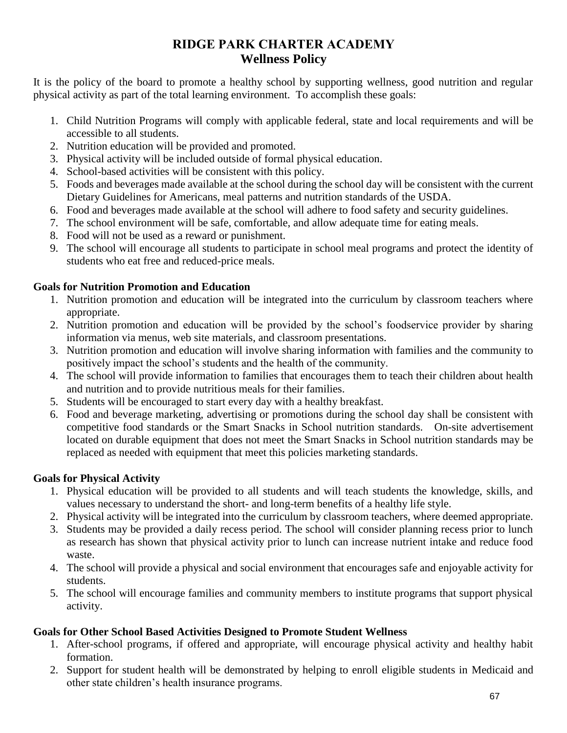# **RIDGE PARK CHARTER ACADEMY Wellness Policy**

It is the policy of the board to promote a healthy school by supporting wellness, good nutrition and regular physical activity as part of the total learning environment. To accomplish these goals:

- 1. Child Nutrition Programs will comply with applicable federal, state and local requirements and will be accessible to all students.
- 2. Nutrition education will be provided and promoted.
- 3. Physical activity will be included outside of formal physical education.
- 4. School-based activities will be consistent with this policy.
- 5. Foods and beverages made available at the school during the school day will be consistent with the current Dietary Guidelines for Americans, meal patterns and nutrition standards of the USDA.
- 6. Food and beverages made available at the school will adhere to food safety and security guidelines.
- 7. The school environment will be safe, comfortable, and allow adequate time for eating meals.
- 8. Food will not be used as a reward or punishment.
- 9. The school will encourage all students to participate in school meal programs and protect the identity of students who eat free and reduced-price meals.

### **Goals for Nutrition Promotion and Education**

- 1. Nutrition promotion and education will be integrated into the curriculum by classroom teachers where appropriate.
- 2. Nutrition promotion and education will be provided by the school's foodservice provider by sharing information via menus, web site materials, and classroom presentations.
- 3. Nutrition promotion and education will involve sharing information with families and the community to positively impact the school's students and the health of the community.
- 4. The school will provide information to families that encourages them to teach their children about health and nutrition and to provide nutritious meals for their families.
- 5. Students will be encouraged to start every day with a healthy breakfast.
- 6. Food and beverage marketing, advertising or promotions during the school day shall be consistent with competitive food standards or the Smart Snacks in School nutrition standards. On-site advertisement located on durable equipment that does not meet the Smart Snacks in School nutrition standards may be replaced as needed with equipment that meet this policies marketing standards.

## **Goals for Physical Activity**

- 1. Physical education will be provided to all students and will teach students the knowledge, skills, and values necessary to understand the short- and long-term benefits of a healthy life style.
- 2. Physical activity will be integrated into the curriculum by classroom teachers, where deemed appropriate.
- 3. Students may be provided a daily recess period. The school will consider planning recess prior to lunch as research has shown that physical activity prior to lunch can increase nutrient intake and reduce food waste.
- 4. The school will provide a physical and social environment that encourages safe and enjoyable activity for students.
- 5. The school will encourage families and community members to institute programs that support physical activity.

## **Goals for Other School Based Activities Designed to Promote Student Wellness**

- 1. After-school programs, if offered and appropriate, will encourage physical activity and healthy habit formation.
- 2. Support for student health will be demonstrated by helping to enroll eligible students in Medicaid and other state children's health insurance programs.